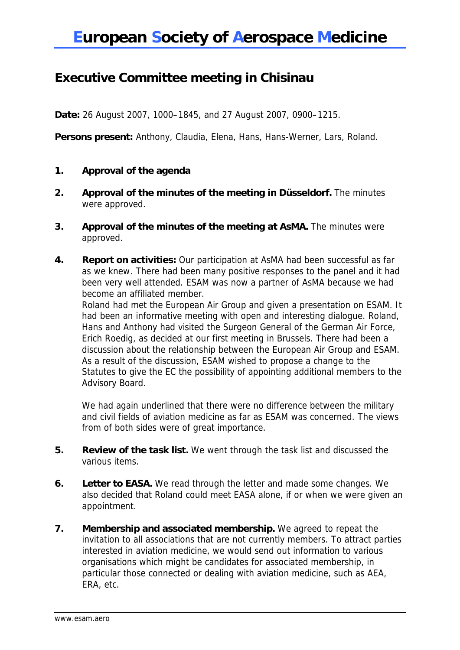## **Executive Committee meeting in Chisinau**

**Date:** 26 August 2007, 1000–1845, and 27 August 2007, 0900–1215.

**Persons present:** Anthony, Claudia, Elena, Hans, Hans-Werner, Lars, Roland.

- **1. Approval of the agenda**
- **2. Approval of the minutes of the meeting in Düsseldorf.** The minutes were approved.
- **3. Approval of the minutes of the meeting at AsMA.** The minutes were approved.
- **4. Report on activities:** Our participation at AsMA had been successful as far as we knew. There had been many positive responses to the panel and it had been very well attended. ESAM was now a partner of AsMA because we had become an affiliated member.

Roland had met the European Air Group and given a presentation on ESAM. It had been an informative meeting with open and interesting dialogue. Roland, Hans and Anthony had visited the Surgeon General of the German Air Force, Erich Roedig, as decided at our first meeting in Brussels. There had been a discussion about the relationship between the European Air Group and ESAM. As a result of the discussion, ESAM wished to propose a change to the Statutes to give the EC the possibility of appointing additional members to the Advisory Board.

We had again underlined that there were no difference between the military and civil fields of aviation medicine as far as ESAM was concerned. The views from of both sides were of great importance.

- **5. Review of the task list.** We went through the task list and discussed the various items.
- **6. Letter to EASA.** We read through the letter and made some changes. We also decided that Roland could meet EASA alone, if or when we were given an appointment.
- **7. Membership and associated membership.** We agreed to repeat the invitation to all associations that are not currently members. To attract parties interested in aviation medicine, we would send out information to various organisations which might be candidates for associated membership, in particular those connected or dealing with aviation medicine, such as AEA, ERA, etc.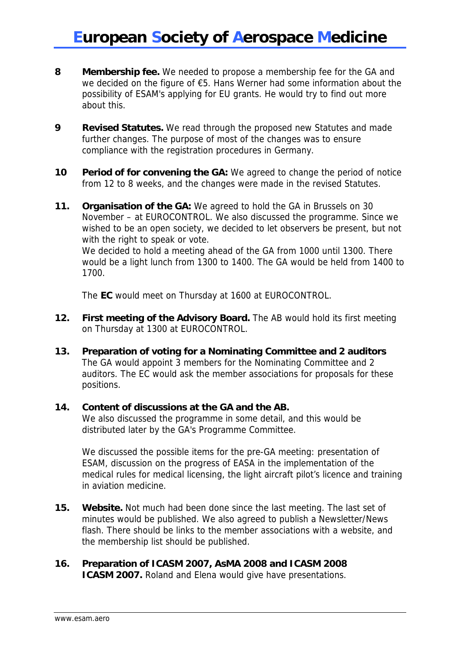- **8 Membership fee.** We needed to propose a membership fee for the GA and we decided on the figure of €5. Hans Werner had some information about the possibility of ESAM's applying for EU grants. He would try to find out more about this.
- **9 Revised Statutes.** We read through the proposed new Statutes and made further changes. The purpose of most of the changes was to ensure compliance with the registration procedures in Germany.
- **10** Period of for convening the GA: We agreed to change the period of notice from 12 to 8 weeks, and the changes were made in the revised Statutes.
- **11. Organisation of the GA:** We agreed to hold the GA in Brussels on 30 November – at EUROCONTROL. We also discussed the programme. Since we wished to be an open society, we decided to let observers be present, but not with the right to speak or vote. We decided to hold a meeting ahead of the GA from 1000 until 1300. There would be a light lunch from 1300 to 1400. The GA would be held from 1400 to 1700.

The **EC** would meet on Thursday at 1600 at EUROCONTROL.

- **12. First meeting of the Advisory Board.** The AB would hold its first meeting on Thursday at 1300 at EUROCONTROL.
- **13. Preparation of voting for a Nominating Committee and 2 auditors**  The GA would appoint 3 members for the Nominating Committee and 2 auditors. The EC would ask the member associations for proposals for these positions.

### **14. Content of discussions at the GA and the AB.**

 We also discussed the programme in some detail, and this would be distributed later by the GA's Programme Committee.

 We discussed the possible items for the pre-GA meeting: presentation of ESAM, discussion on the progress of EASA in the implementation of the medical rules for medical licensing, the light aircraft pilot's licence and training in aviation medicine.

**15. Website.** Not much had been done since the last meeting. The last set of minutes would be published. We also agreed to publish a Newsletter/News flash. There should be links to the member associations with a website, and the membership list should be published.

#### **16. Preparation of ICASM 2007, AsMA 2008 and ICASM 2008 ICASM 2007.** Roland and Elena would give have presentations.